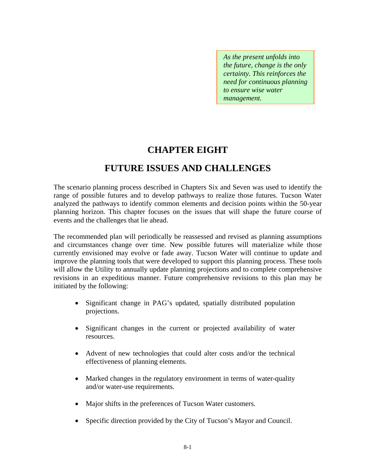*As the present unfolds into the future, change is the only certainty. This reinforces the need for continuous planning to ensure wise water management.* 

# **CHAPTER EIGHT**

# **FUTURE ISSUES AND CHALLENGES**

The scenario planning process described in Chapters Six and Seven was used to identify the range of possible futures and to develop pathways to realize those futures. Tucson Water analyzed the pathways to identify common elements and decision points within the 50-year planning horizon. This chapter focuses on the issues that will shape the future course of events and the challenges that lie ahead.

The recommended plan will periodically be reassessed and revised as planning assumptions and circumstances change over time. New possible futures will materialize while those currently envisioned may evolve or fade away. Tucson Water will continue to update and improve the planning tools that were developed to support this planning process. These tools will allow the Utility to annually update planning projections and to complete comprehensive revisions in an expeditious manner. Future comprehensive revisions to this plan may be initiated by the following:

- Significant change in PAG's updated, spatially distributed population projections.
- Significant changes in the current or projected availability of water resources.
- Advent of new technologies that could alter costs and/or the technical effectiveness of planning elements.
- Marked changes in the regulatory environment in terms of water-quality and/or water-use requirements.
- Major shifts in the preferences of Tucson Water customers.
- Specific direction provided by the City of Tucson's Mayor and Council.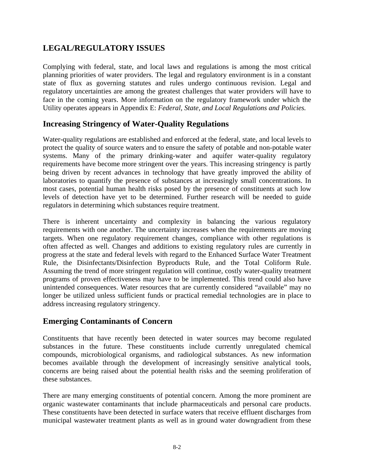# **LEGAL/REGULATORY ISSUES**

Complying with federal, state, and local laws and regulations is among the most critical planning priorities of water providers. The legal and regulatory environment is in a constant state of flux as governing statutes and rules undergo continuous revision. Legal and regulatory uncertainties are among the greatest challenges that water providers will have to face in the coming years. More information on the regulatory framework under which the Utility operates appears in Appendix E: *Federal, State, and Local Regulations and Policies.* 

# **Increasing Stringency of Water-Quality Regulations**

Water-quality regulations are established and enforced at the federal, state, and local levels to protect the quality of source waters and to ensure the safety of potable and non-potable water systems. Many of the primary drinking-water and aquifer water-quality regulatory requirements have become more stringent over the years. This increasing stringency is partly being driven by recent advances in technology that have greatly improved the ability of laboratories to quantify the presence of substances at increasingly small concentrations. In most cases, potential human health risks posed by the presence of constituents at such low levels of detection have yet to be determined. Further research will be needed to guide regulators in determining which substances require treatment.

There is inherent uncertainty and complexity in balancing the various regulatory requirements with one another. The uncertainty increases when the requirements are moving targets. When one regulatory requirement changes, compliance with other regulations is often affected as well. Changes and additions to existing regulatory rules are currently in progress at the state and federal levels with regard to the Enhanced Surface Water Treatment Rule, the Disinfectants/Disinfection Byproducts Rule, and the Total Coliform Rule. Assuming the trend of more stringent regulation will continue, costly water-quality treatment programs of proven effectiveness may have to be implemented. This trend could also have unintended consequences. Water resources that are currently considered "available" may no longer be utilized unless sufficient funds or practical remedial technologies are in place to address increasing regulatory stringency.

# **Emerging Contaminants of Concern**

Constituents that have recently been detected in water sources may become regulated substances in the future. These constituents include currently unregulated chemical compounds, microbiological organisms, and radiological substances. As new information becomes available through the development of increasingly sensitive analytical tools, concerns are being raised about the potential health risks and the seeming proliferation of these substances.

There are many emerging constituents of potential concern. Among the more prominent are organic wastewater contaminants that include pharmaceuticals and personal care products. These constituents have been detected in surface waters that receive effluent discharges from municipal wastewater treatment plants as well as in ground water downgradient from these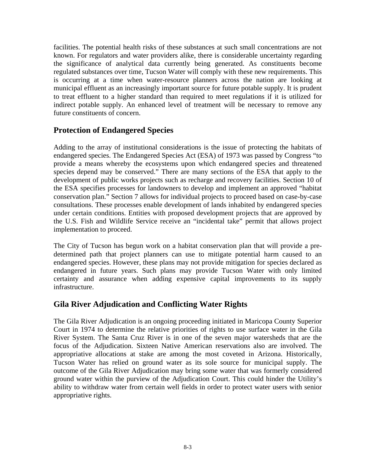facilities. The potential health risks of these substances at such small concentrations are not known. For regulators and water providers alike, there is considerable uncertainty regarding the significance of analytical data currently being generated. As constituents become regulated substances over time, Tucson Water will comply with these new requirements. This is occurring at a time when water-resource planners across the nation are looking at municipal effluent as an increasingly important source for future potable supply. It is prudent to treat effluent to a higher standard than required to meet regulations if it is utilized for indirect potable supply. An enhanced level of treatment will be necessary to remove any future constituents of concern.

### **Protection of Endangered Species**

Adding to the array of institutional considerations is the issue of protecting the habitats of endangered species. The Endangered Species Act (ESA) of 1973 was passed by Congress "to provide a means whereby the ecosystems upon which endangered species and threatened species depend may be conserved." There are many sections of the ESA that apply to the development of public works projects such as recharge and recovery facilities. Section 10 of the ESA specifies processes for landowners to develop and implement an approved "habitat conservation plan." Section 7 allows for individual projects to proceed based on case-by-case consultations. These processes enable development of lands inhabited by endangered species under certain conditions. Entities with proposed development projects that are approved by the U.S. Fish and Wildlife Service receive an "incidental take" permit that allows project implementation to proceed.

The City of Tucson has begun work on a habitat conservation plan that will provide a predetermined path that project planners can use to mitigate potential harm caused to an endangered species. However, these plans may not provide mitigation for species declared as endangered in future years. Such plans may provide Tucson Water with only limited certainty and assurance when adding expensive capital improvements to its supply infrastructure.

# **Gila River Adjudication and Conflicting Water Rights**

The Gila River Adjudication is an ongoing proceeding initiated in Maricopa County Superior Court in 1974 to determine the relative priorities of rights to use surface water in the Gila River System. The Santa Cruz River is in one of the seven major watersheds that are the focus of the Adjudication. Sixteen Native American reservations also are involved. The appropriative allocations at stake are among the most coveted in Arizona. Historically, Tucson Water has relied on ground water as its sole source for municipal supply. The outcome of the Gila River Adjudication may bring some water that was formerly considered ground water within the purview of the Adjudication Court. This could hinder the Utility's ability to withdraw water from certain well fields in order to protect water users with senior appropriative rights.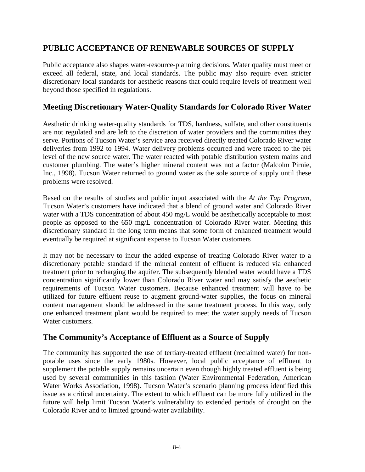# **PUBLIC ACCEPTANCE OF RENEWABLE SOURCES OF SUPPLY**

Public acceptance also shapes water-resource-planning decisions. Water quality must meet or exceed all federal, state, and local standards. The public may also require even stricter discretionary local standards for aesthetic reasons that could require levels of treatment well beyond those specified in regulations.

### **Meeting Discretionary Water-Quality Standards for Colorado River Water**

Aesthetic drinking water-quality standards for TDS, hardness, sulfate, and other constituents are not regulated and are left to the discretion of water providers and the communities they serve. Portions of Tucson Water's service area received directly treated Colorado River water deliveries from 1992 to 1994. Water delivery problems occurred and were traced to the pH level of the new source water. The water reacted with potable distribution system mains and customer plumbing. The water's higher mineral content was not a factor (Malcolm Pirnie, Inc., 1998). Tucson Water returned to ground water as the sole source of supply until these problems were resolved.

Based on the results of studies and public input associated with the *At the Tap Program*, Tucson Water's customers have indicated that a blend of ground water and Colorado River water with a TDS concentration of about 450 mg/L would be aesthetically acceptable to most people as opposed to the 650 mg/L concentration of Colorado River water. Meeting this discretionary standard in the long term means that some form of enhanced treatment would eventually be required at significant expense to Tucson Water customers

It may not be necessary to incur the added expense of treating Colorado River water to a discretionary potable standard if the mineral content of effluent is reduced via enhanced treatment prior to recharging the aquifer. The subsequently blended water would have a TDS concentration significantly lower than Colorado River water and may satisfy the aesthetic requirements of Tucson Water customers. Because enhanced treatment will have to be utilized for future effluent reuse to augment ground-water supplies, the focus on mineral content management should be addressed in the same treatment process. In this way, only one enhanced treatment plant would be required to meet the water supply needs of Tucson Water customers.

# **The Community's Acceptance of Effluent as a Source of Supply**

The community has supported the use of tertiary-treated effluent (reclaimed water) for nonpotable uses since the early 1980s. However, local public acceptance of effluent to supplement the potable supply remains uncertain even though highly treated effluent is being used by several communities in this fashion (Water Environmental Federation, American Water Works Association, 1998). Tucson Water's scenario planning process identified this issue as a critical uncertainty. The extent to which effluent can be more fully utilized in the future will help limit Tucson Water's vulnerability to extended periods of drought on the Colorado River and to limited ground-water availability.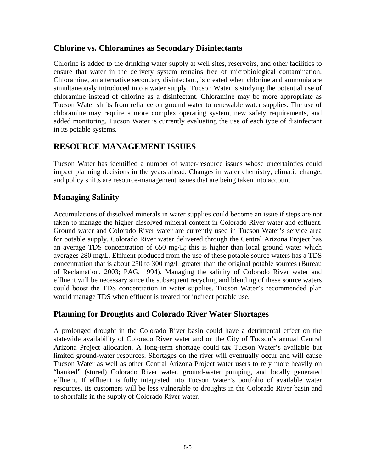### **Chlorine vs. Chloramines as Secondary Disinfectants**

Chlorine is added to the drinking water supply at well sites, reservoirs, and other facilities to ensure that water in the delivery system remains free of microbiological contamination. Chloramine, an alternative secondary disinfectant, is created when chlorine and ammonia are simultaneously introduced into a water supply. Tucson Water is studying the potential use of chloramine instead of chlorine as a disinfectant. Chloramine may be more appropriate as Tucson Water shifts from reliance on ground water to renewable water supplies. The use of chloramine may require a more complex operating system, new safety requirements, and added monitoring. Tucson Water is currently evaluating the use of each type of disinfectant in its potable systems.

# **RESOURCE MANAGEMENT ISSUES**

Tucson Water has identified a number of water-resource issues whose uncertainties could impact planning decisions in the years ahead. Changes in water chemistry, climatic change, and policy shifts are resource-management issues that are being taken into account.

# **Managing Salinity**

Accumulations of dissolved minerals in water supplies could become an issue if steps are not taken to manage the higher dissolved mineral content in Colorado River water and effluent. Ground water and Colorado River water are currently used in Tucson Water's service area for potable supply. Colorado River water delivered through the Central Arizona Project has an average TDS concentration of 650 mg/L; this is higher than local ground water which averages 280 mg/L. Effluent produced from the use of these potable source waters has a TDS concentration that is about 250 to 300 mg/L greater than the original potable sources (Bureau of Reclamation, 2003; PAG, 1994). Managing the salinity of Colorado River water and effluent will be necessary since the subsequent recycling and blending of these source waters could boost the TDS concentration in water supplies. Tucson Water's recommended plan would manage TDS when effluent is treated for indirect potable use.

# **Planning for Droughts and Colorado River Water Shortages**

A prolonged drought in the Colorado River basin could have a detrimental effect on the statewide availability of Colorado River water and on the City of Tucson's annual Central Arizona Project allocation. A long-term shortage could tax Tucson Water's available but limited ground-water resources. Shortages on the river will eventually occur and will cause Tucson Water as well as other Central Arizona Project water users to rely more heavily on "banked" (stored) Colorado River water, ground-water pumping, and locally generated effluent. If effluent is fully integrated into Tucson Water's portfolio of available water resources, its customers will be less vulnerable to droughts in the Colorado River basin and to shortfalls in the supply of Colorado River water.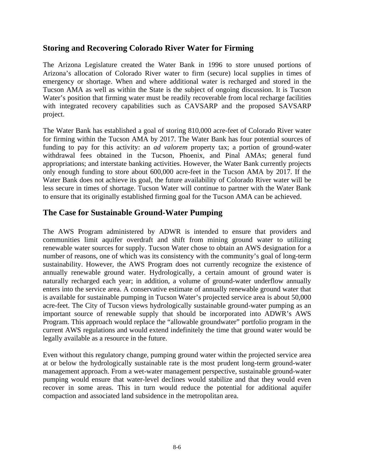### **Storing and Recovering Colorado River Water for Firming**

The Arizona Legislature created the Water Bank in 1996 to store unused portions of Arizona's allocation of Colorado River water to firm (secure) local supplies in times of emergency or shortage. When and where additional water is recharged and stored in the Tucson AMA as well as within the State is the subject of ongoing discussion. It is Tucson Water's position that firming water must be readily recoverable from local recharge facilities with integrated recovery capabilities such as CAVSARP and the proposed SAVSARP project.

The Water Bank has established a goal of storing 810,000 acre-feet of Colorado River water for firming within the Tucson AMA by 2017. The Water Bank has four potential sources of funding to pay for this activity: an *ad valorem* property tax; a portion of ground-water withdrawal fees obtained in the Tucson, Phoenix, and Pinal AMAs; general fund appropriations; and interstate banking activities. However, the Water Bank currently projects only enough funding to store about 600,000 acre-feet in the Tucson AMA by 2017. If the Water Bank does not achieve its goal, the future availability of Colorado River water will be less secure in times of shortage. Tucson Water will continue to partner with the Water Bank to ensure that its originally established firming goal for the Tucson AMA can be achieved.

### **The Case for Sustainable Ground-Water Pumping**

The AWS Program administered by ADWR is intended to ensure that providers and communities limit aquifer overdraft and shift from mining ground water to utilizing renewable water sources for supply. Tucson Water chose to obtain an AWS designation for a number of reasons, one of which was its consistency with the community's goal of long-term sustainability. However, the AWS Program does not currently recognize the existence of annually renewable ground water. Hydrologically, a certain amount of ground water is naturally recharged each year; in addition, a volume of ground-water underflow annually enters into the service area. A conservative estimate of annually renewable ground water that is available for sustainable pumping in Tucson Water's projected service area is about 50,000 acre-feet. The City of Tucson views hydrologically sustainable ground-water pumping as an important source of renewable supply that should be incorporated into ADWR's AWS Program. This approach would replace the "allowable groundwater" portfolio program in the current AWS regulations and would extend indefinitely the time that ground water would be legally available as a resource in the future.

Even without this regulatory change, pumping ground water within the projected service area at or below the hydrologically sustainable rate is the most prudent long-term ground-water management approach. From a wet-water management perspective, sustainable ground-water pumping would ensure that water-level declines would stabilize and that they would even recover in some areas. This in turn would reduce the potential for additional aquifer compaction and associated land subsidence in the metropolitan area.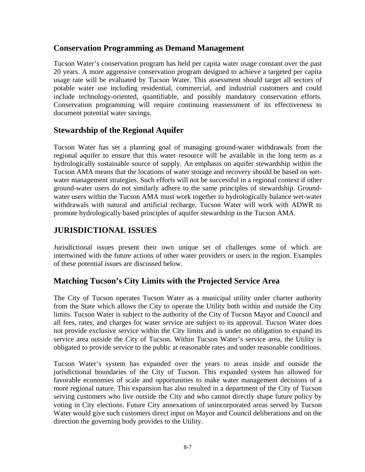### **Conservation Programming as Demand Management**

Tucson Water's conservation program has held per capita water usage constant over the past 20 years. A more aggressive conservation program designed to achieve a targeted per capita usage rate will be evaluated by Tucson Water. This assessment should target all sectors of potable water use including residential, commercial, and industrial customers and could include technology-oriented, quantifiable, and possibly mandatory conservation efforts. Conservation programming will require continuing reassessment of its effectiveness to document potential water savings.

# **Stewardship of the Regional Aquifer**

Tucson Water has set a planning goal of managing ground-water withdrawals from the regional aquifer to ensure that this water resource will be available in the long term as a hydrologically sustainable source of supply. An emphasis on aquifer stewardship within the Tucson AMA means that the locations of water storage and recovery should be based on wetwater management strategies. Such efforts will not be successful in a regional context if other ground-water users do not similarly adhere to the same principles of stewardship. Groundwater users within the Tucson AMA must work together to hydrologically balance wet-water withdrawals with natural and artificial recharge. Tucson Water will work with ADWR to promote hydrologically based principles of aquifer stewardship in the Tucson AMA.

# **JURISDICTIONAL ISSUES**

Jurisdictional issues present their own unique set of challenges some of which are intertwined with the future actions of other water providers or users in the region. Examples of these potential issues are discussed below.

# **Matching Tucson's City Limits with the Projected Service Area**

The City of Tucson operates Tucson Water as a municipal utility under charter authority from the State which allows the City to operate the Utility both within and outside the City limits. Tucson Water is subject to the authority of the City of Tucson Mayor and Council and all fees, rates, and charges for water service are subject to its approval. Tucson Water does not provide exclusive service within the City limits and is under no obligation to expand its service area outside the City of Tucson. Within Tucson Water's service area, the Utility is obligated to provide service to the public at reasonable rates and under reasonable conditions.

Tucson Water's system has expanded over the years to areas inside and outside the jurisdictional boundaries of the City of Tucson. This expanded system has allowed for favorable economies of scale and opportunities to make water management decisions of a more regional nature. This expansion has also resulted in a department of the City of Tucson serving customers who live outside the City and who cannot directly shape future policy by voting in City elections. Future City annexations of unincorporated areas served by Tucson Water would give such customers direct input on Mayor and Council deliberations and on the direction the governing body provides to the Utility.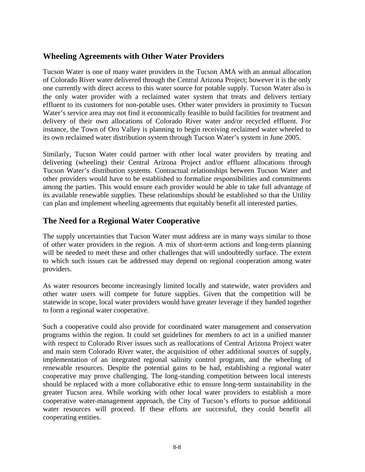### **Wheeling Agreements with Other Water Providers**

Tucson Water is one of many water providers in the Tucson AMA with an annual allocation of Colorado River water delivered through the Central Arizona Project; however it is the only one currently with direct access to this water source for potable supply. Tucson Water also is the only water provider with a reclaimed water system that treats and delivers tertiary effluent to its customers for non-potable uses. Other water providers in proximity to Tucson Water's service area may not find it economically feasible to build facilities for treatment and delivery of their own allocations of Colorado River water and/or recycled effluent. For instance, the Town of Oro Valley is planning to begin receiving reclaimed water wheeled to its own reclaimed water distribution system through Tucson Water's system in June 2005.

Similarly, Tucson Water could partner with other local water providers by treating and delivering (wheeling) their Central Arizona Project and/or effluent allocations through Tucson Water's distribution systems. Contractual relationships between Tucson Water and other providers would have to be established to formalize responsibilities and commitments among the parties. This would ensure each provider would be able to take full advantage of its available renewable supplies. These relationships should be established so that the Utility can plan and implement wheeling agreements that equitably benefit all interested parties.

# **The Need for a Regional Water Cooperative**

The supply uncertainties that Tucson Water must address are in many ways similar to those of other water providers in the region. A mix of short-term actions and long-term planning will be needed to meet these and other challenges that will undoubtedly surface. The extent to which such issues can be addressed may depend on regional cooperation among water providers.

As water resources become increasingly limited locally and statewide, water providers and other water users will compete for future supplies. Given that the competition will be statewide in scope, local water providers would have greater leverage if they banded together to form a regional water cooperative.

Such a cooperative could also provide for coordinated water management and conservation programs within the region. It could set guidelines for members to act in a unified manner with respect to Colorado River issues such as reallocations of Central Arizona Project water and main stem Colorado River water, the acquisition of other additional sources of supply, implementation of an integrated regional salinity control program, and the wheeling of renewable resources. Despite the potential gains to be had, establishing a regional water cooperative may prove challenging. The long-standing competition between local interests should be replaced with a more collaborative ethic to ensure long-term sustainability in the greater Tucson area. While working with other local water providers to establish a more cooperative water-management approach, the City of Tucson's efforts to pursue additional water resources will proceed. If these efforts are successful, they could benefit all cooperating entities.